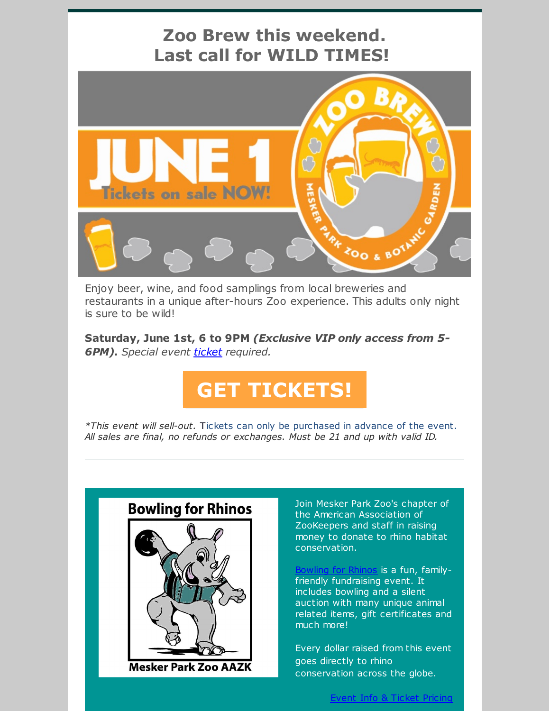

restaurants in a unique after-hours Zoo experience. This adults only night is sure to be wild!

**Saturday, June 1st, 6 to 9PM** *(Exclusive VIP only access from 5- 6PM). Special event [ticket](https://www.eventbrite.com/e/mesker-park-zoo-brew-2019-tickets-60631972863) required.*

## **GET [TICKETS!](https://www.eventbrite.com/ehttps://www.meskerparkzoo.com/zoobrew2019//mesker-park-zoo-brew-2019-tickets-60631972863)**

*\*This event will sell-out.* Tickets can only be purchased in advance of the event. *All sales are final, no refunds or exchanges. Must be 21 and up with valid ID.*



Join Mesker Park Zoo's chapter of the American Association of ZooKeepers and staff in raising money to donate to rhino habitat conservation.

[Bowling](https://www.eventbrite.com/e/bowling-for-rhinos-2019-bfr-tickets-61830293071?aff=efbeventtix&fbclid=IwAR3GHuCzzmY1Qwf_gCdYHrk9DLhUABb-ADI2izoL2MmNlMhUPeOYIWJhOL0) for Rhinos is a fun, familyfriendly fundraising event. It includes bowling and a silent auction with many unique animal related items, gift certificates and much more!

Every dollar raised from this event goes directly to rhino conservation across the globe.

Event Info & Ticket [Pricing](https://www.eventbrite.com/e/bowling-for-rhinos-2019-bfr-tickets-61830293071?aff=efbeventtix&fbclid=IwAR3GHuCzzmY1Qwf_gCdYHrk9DLhUABb-ADI2izoL2MmNlMhUPeOYIWJhOL0)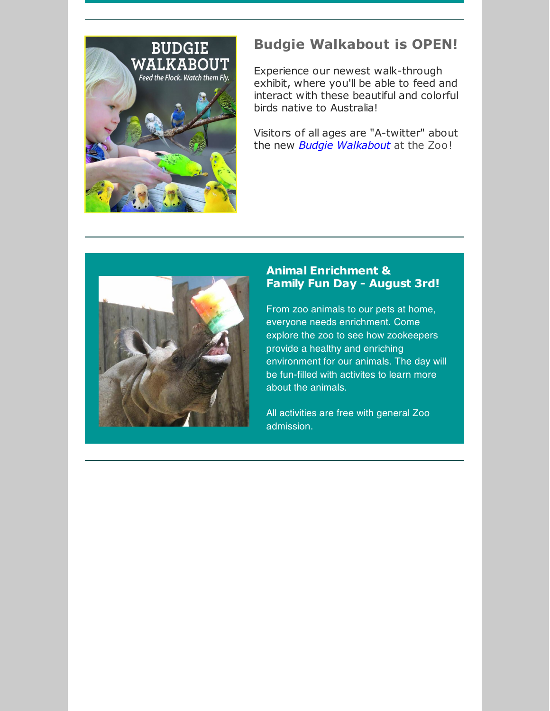

## **Budgie Walkabout is OPEN!**

Experience our newest walk-through exhibit, where you'll be able to feed and interact with these beautiful and colorful birds native to Australia!

Visitors of all ages are "A-twitter" about the new *Budgie [Walkabout](https://www.meskerparkzoo.com/plan-your-visit/vistors-services-amenities/)* at the Zoo!



## **Animal Enrichment & Family Fun Day - August 3rd!**

From zoo animals to our pets at home, everyone needs enrichment. Come explore the zoo to see how zookeepers provide a healthy and enriching environment for our animals. The day will be fun-filled with activites to learn more about the animals.

All activities are free with general Zoo admission.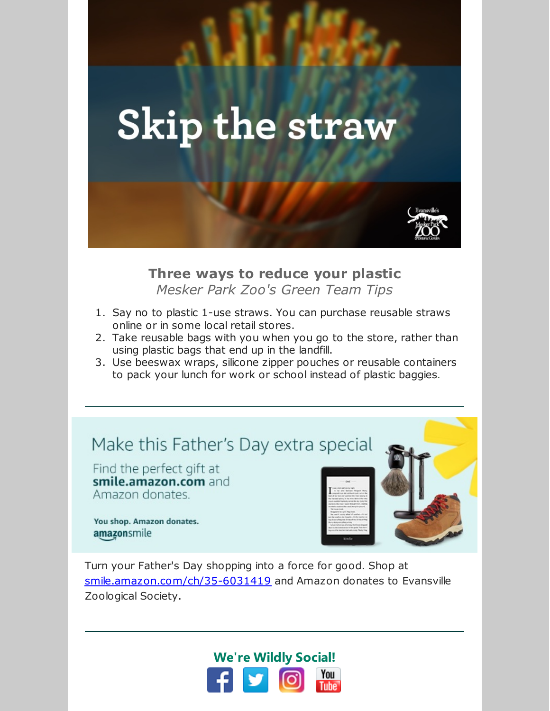

**Three ways to reduce your plastic** *Mesker Park Zoo's Green Team Tips*

- 1. Say no to plastic 1-use straws. You can purchase reusable straws online or in some local retail stores.
- 2. Take reusable bags with you when you go to the store, rather than using plastic bags that end up in the landfill.
- 3. Use beeswax wraps, silicone zipper pouches or reusable containers to pack your lunch for work or school instead of plastic baggies.

## Make this Father's Day extra special

Find the perfect gift at smile.amazon.com and Amazon donates.

You shop. Amazon donates. amazonsmile



Turn your Father's Day shopping into a force for good. Shop at [smile.amazon.com/ch/35-6031419](https://www.amazon.com/gp/f.html?C=POTUCG8EERPM&K=3B7YIWAW8HCN0&M=urn:rtn:msg:20190528140249c32ed78ac6704168b7be562b2750p0na&R=N1CHLU5FHWSD&T=C&U=http%3A%2F%2Fsmile.amazon.com%2Fch%2F35-6031419&H=OG4GGW4ZTZNBKG3CZTGAM0SITBMA) and Amazon donates to Evansville Zoological Society.